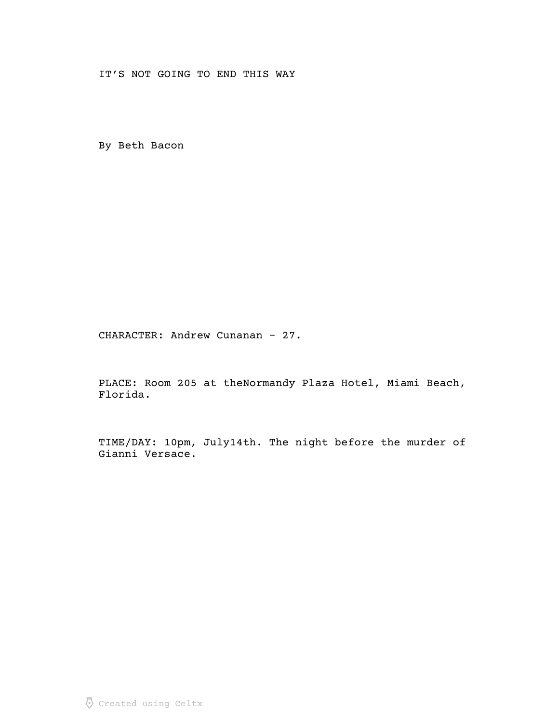IT'S NOT GOING TO END THIS WAY

By Beth Bacon

CHARACTER: Andrew Cunanan – 27.

PLACE: Room 205 at theNormandy Plaza Hotel, Miami Beach, Florida.

TIME/DAY: 10pm, July14th. The night before the murder of Gianni Versace.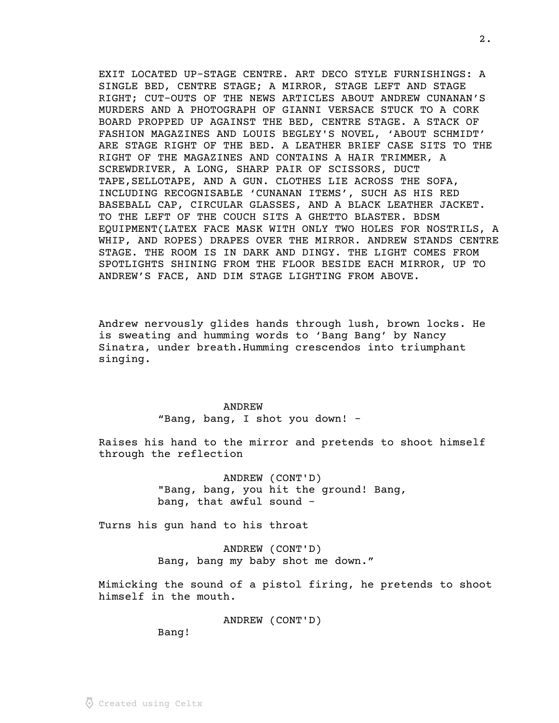EXIT LOCATED UP-STAGE CENTRE. ART DECO STYLE FURNISHINGS: A SINGLE BED, CENTRE STAGE; A MIRROR, STAGE LEFT AND STAGE RIGHT; CUT-OUTS OF THE NEWS ARTICLES ABOUT ANDREW CUNANAN'S MURDERS AND A PHOTOGRAPH OF GIANNI VERSACE STUCK TO A CORK BOARD PROPPED UP AGAINST THE BED, CENTRE STAGE. A STACK OF FASHION MAGAZINES AND LOUIS BEGLEY'S NOVEL, 'ABOUT SCHMIDT' ARE STAGE RIGHT OF THE BED. A LEATHER BRIEF CASE SITS TO THE RIGHT OF THE MAGAZINES AND CONTAINS A HAIR TRIMMER, A SCREWDRIVER, A LONG, SHARP PAIR OF SCISSORS, DUCT TAPE,SELLOTAPE, AND A GUN. CLOTHES LIE ACROSS THE SOFA, INCLUDING RECOGNISABLE 'CUNANAN ITEMS', SUCH AS HIS RED BASEBALL CAP, CIRCULAR GLASSES, AND A BLACK LEATHER JACKET. TO THE LEFT OF THE COUCH SITS A GHETTO BLASTER. BDSM EQUIPMENT(LATEX FACE MASK WITH ONLY TWO HOLES FOR NOSTRILS, A WHIP, AND ROPES) DRAPES OVER THE MIRROR. ANDREW STANDS CENTRE STAGE. THE ROOM IS IN DARK AND DINGY. THE LIGHT COMES FROM SPOTLIGHTS SHINING FROM THE FLOOR BESIDE EACH MIRROR, UP TO ANDREW'S FACE, AND DIM STAGE LIGHTING FROM ABOVE.

Andrew nervously glides hands through lush, brown locks. He is sweating and humming words to 'Bang Bang' by Nancy Sinatra, under breath.Humming crescendos into triumphant singing.

#### ANDREW

"Bang, bang, I shot you down! -

Raises his hand to the mirror and pretends to shoot himself through the reflection

> ANDREW (CONT'D) "Bang, bang, you hit the ground! Bang, bang, that awful sound -

Turns his gun hand to his throat

ANDREW (CONT'D) Bang, bang my baby shot me down."

Mimicking the sound of a pistol firing, he pretends to shoot himself in the mouth.

ANDREW (CONT'D)

Bang!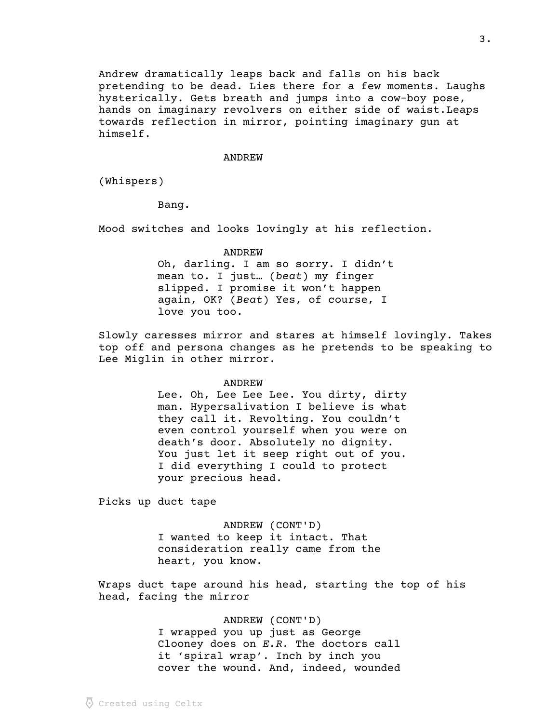Andrew dramatically leaps back and falls on his back pretending to be dead. Lies there for a few moments. Laughs hysterically. Gets breath and jumps into a cow-boy pose, hands on imaginary revolvers on either side of waist.Leaps towards reflection in mirror, pointing imaginary gun at himself.

### ANDREW

(Whispers)

Bang.

Mood switches and looks lovingly at his reflection.

ANDREW

Oh, darling. I am so sorry. I didn't mean to. I just... ( $beat$ ) my finger slipped. I promise it won't happen again, OK? (Beat) Yes, of course, I love you too.

Slowly caresses mirror and stares at himself lovingly. Takes top off and persona changes as he pretends to be speaking to Lee Miglin in other mirror.

#### ANDREW

Lee. Oh, Lee Lee Lee. You dirty, dirty man. Hypersalivation I believe is what they call it. Revolting. You couldn't even control yourself when you were on death's door. Absolutely no dignity. You just let it seep right out of you. I did everything I could to protect your precious head.

Picks up duct tape

ANDREW (CONT'D) I wanted to keep it intact. That consideration really came from the heart, you know.

Wraps duct tape around his head, starting the top of his head, facing the mirror

ANDREW (CONT'D)

I wrapped you up just as George Clooney does on  $E.R.$  The doctors call it 'spiral wrap'. Inch by inch you cover the wound. And, indeed, wounded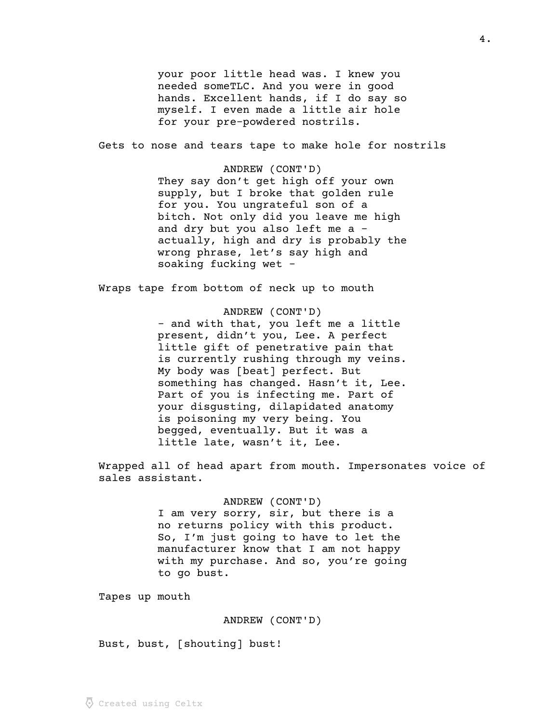your poor little head was. I knew you needed someTLC. And you were in good hands. Excellent hands, if I do say so myself. I even made a little air hole for your pre-powdered nostrils.

Gets to nose and tears tape to make hole for nostrils

ANDREW (CONT'D) They say don't get high off your own supply, but I broke that golden rule for you. You ungrateful son of a bitch. Not only did you leave me high and dry but you also left me a actually, high and dry is probably the wrong phrase, let's say high and soaking fucking wet –

Wraps tape from bottom of neck up to mouth

ANDREW (CONT'D) - and with that, you left me a little present, didn't you, Lee. A perfect little gift of penetrative pain that is currently rushing through my veins. My body was [beat] perfect. But something has changed. Hasn't it, Lee. Part of you is infecting me. Part of your disgusting, dilapidated anatomy is poisoning my very being. You begged, eventually. But it was a little late, wasn't it, Lee.

Wrapped all of head apart from mouth. Impersonates voice of sales assistant.

# ANDREW (CONT'D)

I am very sorry, sir, but there is a no returns policy with this product. So, I'm just going to have to let the manufacturer know that I am not happy with my purchase. And so, you're going to go bust.

Tapes up mouth

## ANDREW (CONT'D)

Bust, bust, [shouting] bust!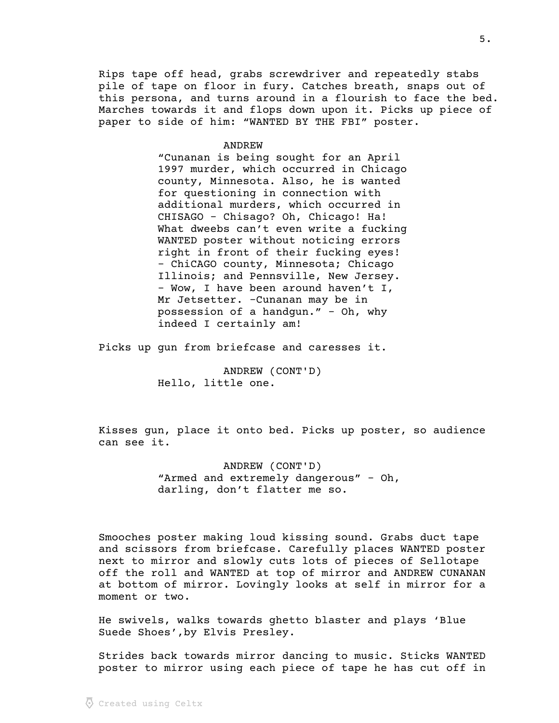Rips tape off head, grabs screwdriver and repeatedly stabs pile of tape on floor in fury. Catches breath, snaps out of this persona, and turns around in a flourish to face the bed. Marches towards it and flops down upon it. Picks up piece of paper to side of him: "WANTED BY THE FBI" poster.

**ANDREW** 

"Cunanan is being sought for an April 1997 murder, which occurred in Chicago county, Minnesota. Also, he is wanted for questioning in connection with additional murders, which occurred in CHISAGO – Chisago? Oh, Chicago! Ha! What dweebs can't even write a fucking WANTED poster without noticing errors right in front of their fucking eyes! – ChiCAGO county, Minnesota; Chicago Illinois; and Pennsville, New Jersey. – Wow, I have been around haven't I, Mr Jetsetter. –Cunanan may be in possession of a handgun." – Oh, why indeed I certainly am!

Picks up gun from briefcase and caresses it.

ANDREW (CONT'D) Hello, little one.

Kisses gun, place it onto bed. Picks up poster, so audience can see it.

> ANDREW (CONT'D) "Armed and extremely dangerous" – Oh, darling, don't flatter me so.

Smooches poster making loud kissing sound. Grabs duct tape and scissors from briefcase. Carefully places WANTED poster next to mirror and slowly cuts lots of pieces of Sellotape off the roll and WANTED at top of mirror and ANDREW CUNANAN at bottom of mirror. Lovingly looks at self in mirror for a moment or two.

He swivels, walks towards ghetto blaster and plays 'Blue Suede Shoes',by Elvis Presley.

Strides back towards mirror dancing to music. Sticks WANTED poster to mirror using each piece of tape he has cut off in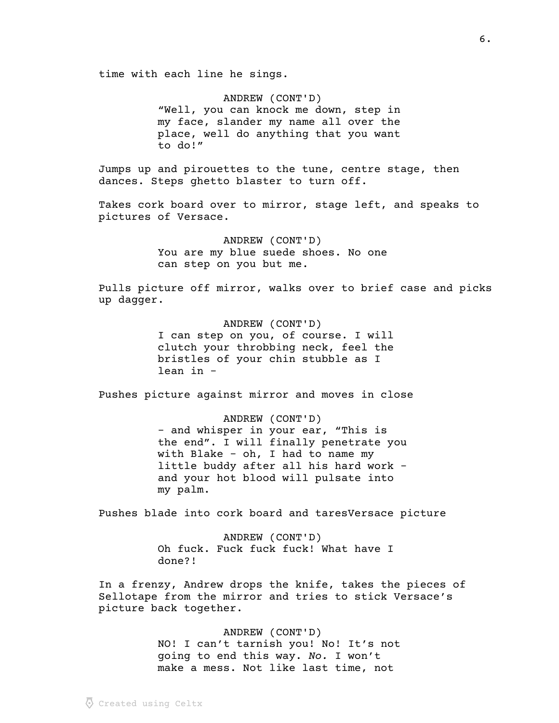time with each line he sings.

ANDREW (CONT'D) "Well, you can knock me down, step in my face, slander my name all over the place, well do anything that you want to do!"

Jumps up and pirouettes to the tune, centre stage, then dances. Steps ghetto blaster to turn off.

Takes cork board over to mirror, stage left, and speaks to pictures of Versace.

> ANDREW (CONT'D) You are my blue suede shoes. No one can step on you but me.

Pulls picture off mirror, walks over to brief case and picks up dagger.

> ANDREW (CONT'D) I can step on you, of course. I will clutch your throbbing neck, feel the bristles of your chin stubble as I lean in -

Pushes picture against mirror and moves in close

ANDREW (CONT'D) - and whisper in your ear, "This is the end". I will finally penetrate you with Blake – oh, I had to name my little buddy after all his hard work – and your hot blood will pulsate into my palm.

Pushes blade into cork board and taresVersace picture

ANDREW (CONT'D) Oh fuck. Fuck fuck fuck! What have I done?!

In a frenzy, Andrew drops the knife, takes the pieces of Sellotape from the mirror and tries to stick Versace's picture back together.

> ANDREW (CONT'D) NO! I can't tarnish you! No! It's not going to end this way. No. I won't make a mess. Not like last time, not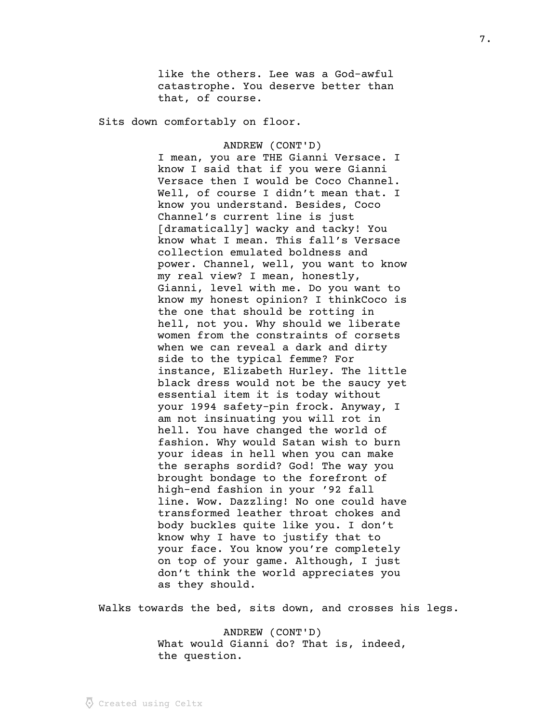like the others. Lee was a God-awful catastrophe. You deserve better than that, of course.

Sits down comfortably on floor.

ANDREW (CONT'D) I mean, you are THE Gianni Versace. I know I said that if you were Gianni Versace then I would be Coco Channel. Well, of course I didn't mean that. I know you understand. Besides, Coco Channel's current line is just [dramatically] wacky and tacky! You know what I mean. This fall's Versace collection emulated boldness and power. Channel, well, you want to know my real view? I mean, honestly, Gianni, level with me. Do you want to know my honest opinion? I thinkCoco is the one that should be rotting in hell, not you. Why should we liberate women from the constraints of corsets when we can reveal a dark and dirty side to the typical femme? For instance, Elizabeth Hurley. The little black dress would not be the saucy yet essential item it is today without your 1994 safety-pin frock. Anyway, I am not insinuating you will rot in hell. You have changed the world of fashion. Why would Satan wish to burn your ideas in hell when you can make the seraphs sordid? God! The way you brought bondage to the forefront of high-end fashion in your '92 fall line. Wow. Dazzling! No one could have transformed leather throat chokes and body buckles quite like you. I don't know why I have to justify that to your face. You know you're completely on top of your game. Although, I just don't think the world appreciates you as they should.

Walks towards the bed, sits down, and crosses his legs.

ANDREW (CONT'D) What would Gianni do? That is, indeed, the question.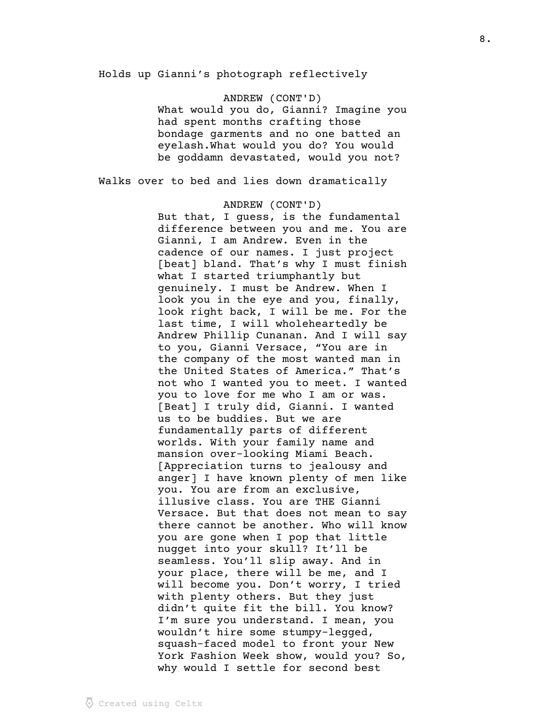Holds up Gianni's photograph reflectively

ANDREW (CONT'D) What would you do, Gianni? Imagine you had spent months crafting those bondage garments and no one batted an eyelash.What would you do? You would be goddamn devastated, would you not?

Walks over to bed and lies down dramatically

ANDREW (CONT'D) But that, I guess, is the fundamental difference between you and me. You are Gianni, I am Andrew. Even in the cadence of our names. I just project [beat] bland. That's why I must finish what I started triumphantly but genuinely. I must be Andrew. When I look you in the eye and you, finally, look right back, I will be me. For the last time, I will wholeheartedly be Andrew Phillip Cunanan. And I will say to you, Gianni Versace, "You are in the company of the most wanted man in the United States of America." That's not who I wanted you to meet. I wanted you to love for me who I am or was. [Beat] I truly did, Gianni. I wanted us to be buddies. But we are fundamentally parts of different worlds. With your family name and mansion over-looking Miami Beach. [Appreciation turns to jealousy and anger] I have known plenty of men like you. You are from an exclusive, illusive class. You are THE Gianni Versace. But that does not mean to say there cannot be another. Who will know you are gone when I pop that little nugget into your skull? It'll be seamless. You'll slip away. And in your place, there will be me, and I will become you. Don't worry, I tried with plenty others. But they just didn't quite fit the bill. You know? I'm sure you understand. I mean, you wouldn't hire some stumpy-legged, squash-faced model to front your New York Fashion Week show, would you? So, why would I settle for second best